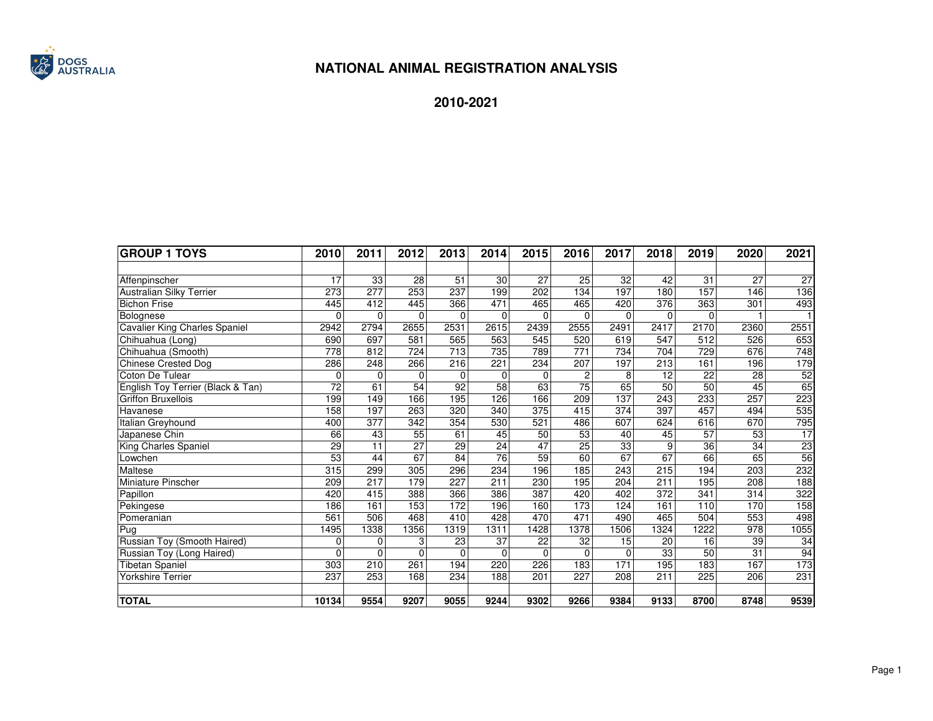

| <b> GROUP 1 TOYS</b>              | 2010            | 2011             | 2012             | 2013 | 2014            | 2015 | 2016            | 2017     | 2018     | 2019        | 2020 | 2021            |
|-----------------------------------|-----------------|------------------|------------------|------|-----------------|------|-----------------|----------|----------|-------------|------|-----------------|
|                                   |                 |                  |                  |      |                 |      |                 |          |          |             |      |                 |
| Affenpinscher                     | 17              | 33               | 28               | 51   | 30              | 27   | 25              | 32       | 42       | 31          | 27   | 27              |
| <b>Australian Silky Terrier</b>   | 273             | 277              | 253              | 237  | 199             | 202  | 134             | 197      | 180      | 157         | 146  | 136             |
| <b>Bichon Frise</b>               | 445             | 412              | 445              | 366  | 471             | 465  | 465             | 420      | 376      | 363         | 301  | 493             |
| Bolognese                         | $\Omega$        | $\Omega$         | $\Omega$         | 0    | 0               |      | $\Omega$        | $\Omega$ | $\Omega$ | $\mathbf 0$ |      |                 |
| Cavalier King Charles Spaniel     | 2942            | 2794             | 2655             | 2531 | 2615            | 2439 | 2555            | 2491     | 2417     | 2170        | 2360 | 2551            |
| Chihuahua (Long)                  | 690             | 697              | 581              | 565  | 563             | 545  | 520             | 619      | 547      | 512         | 526  | 653             |
| Chihuahua (Smooth)                | 778             | 812              | 724              | 713  | 735             | 789  | 771             | 734      | 704      | 729         | 676  | 748             |
| <b>Chinese Crested Dog</b>        | 286             | 248              | 266              | 216  | 221             | 234  | 207             | 197      | 213      | 161         | 196  | 179             |
| Coton De Tulear                   | $\Omega$        | $\Omega$         | $\Omega$         | 0    | $\Omega$        |      | $\overline{c}$  | 8        | 12       | 22          | 28   | $\frac{52}{65}$ |
| English Toy Terrier (Black & Tan) | 72              | 61               | 54               | 92   | 58              | 63   | $\overline{75}$ | 65       | 50       | 50          | 45   |                 |
| <b>Griffon Bruxellois</b>         | 199             | 149              | 166              | 195  | 126             | 166  | 209             | 137      | 243      | 233         | 257  | 223             |
| Havanese                          | 158             | 197              | 263              | 320  | 340             | 375  | 415             | 374      | 397      | 457         | 494  | 535             |
| Italian Greyhound                 | 400             | 377              | $\overline{342}$ | 354  | 530             | 521  | 486             | 607      | 624      | 616         | 670  | 795             |
| Japanese Chin                     | 66              | 43               | 55               | 61   | 45              | 50   | 53              | 40       | 45       | 57          | 53   | 17              |
| King Charles Spaniel              | 29              | 11               | 27               | 29   | 24              | 47   | 25              | 33       | 9        | 36          | 34   | $\frac{23}{56}$ |
| Lowchen                           | $\overline{53}$ | 44               | 67               | 84   | $\overline{76}$ | 59   | 60              | 67       | 67       | 66          | 65   |                 |
| Maltese                           | 315             | 299              | 305              | 296  | 234             | 196  | 185             | 243      | 215      | 194         | 203  | 232             |
| Miniature Pinscher                | 209             | $\overline{217}$ | 179              | 227  | 211             | 230  | 195             | 204      | 211      | 195         | 208  | 188             |
| Papillon                          | 420             | 415              | 388              | 366  | 386             | 387  | 420             | 402      | 372      | 341         | 314  | 322             |
| Pekingese                         | 186             | 161              | 153              | 172  | 196             | 160  | 173             | 124      | 161      | 110         | 170  | 158             |
| Pomeranian                        | 561             | 506              | 468              | 410  | 428             | 470  | 471             | 490      | 465      | 504         | 553  | 498             |
| Pug                               | 1495            | 1338             | 1356             | 1319 | 1311            | 1428 | 1378            | 1506     | 1324     | 1222        | 978  | 1055            |
| Russian Toy (Smooth Haired)       | $\Omega$        | $\Omega$         | 3                | 23   | 37              | 22   | 32              | 15       | 20       | 16          | 39   | 34              |
| Russian Toy (Long Haired)         | $\Omega$        | $\Omega$         | $\Omega$         | 0    | $\mathbf{0}$    |      | $\Omega$        | $\Omega$ | 33       | 50          | 31   | 94              |
| <b>Tibetan Spaniel</b>            | 303             | 210              | 261              | 194  | 220             | 226  | 183             | 171      | 195      | 183         | 167  | 173             |
| Yorkshire Terrier                 | 237             | 253              | 168              | 234  | 188             | 201  | 227             | 208      | 211      | 225         | 206  | 231             |
| <b>TOTAL</b>                      | 10134           | 9554             | 9207             | 9055 | 9244            | 9302 | 9266            | 9384     | 9133     | 8700        | 8748 | 9539            |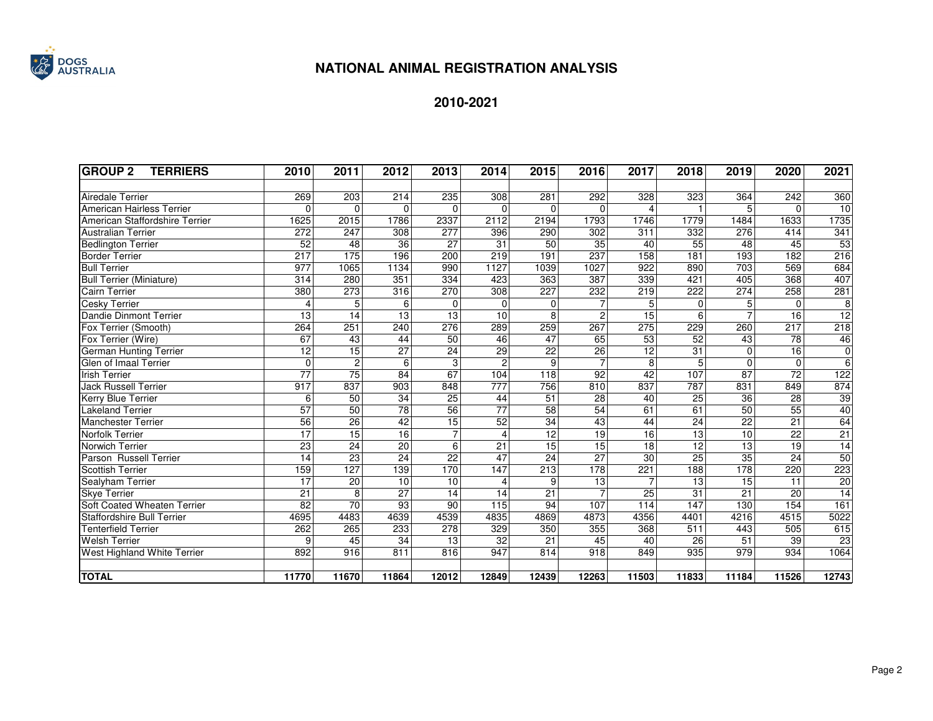

| <b>GROUP 2</b><br><b>TERRIERS</b> | 2010            | 2011           | 2012            | 2013             | 2014                    | 2015            | 2016            | 2017            | 2018            | 2019            | 2020            | 2021            |
|-----------------------------------|-----------------|----------------|-----------------|------------------|-------------------------|-----------------|-----------------|-----------------|-----------------|-----------------|-----------------|-----------------|
|                                   |                 |                |                 |                  |                         |                 |                 |                 |                 |                 |                 |                 |
| <b>Airedale Terrier</b>           | 269             | 203            | 214             | 235              | 308                     | 281             | 292             | 328             | 323             | 364             | 242             | 360             |
| American Hairless Terrier         | $\mathbf 0$     | $\Omega$       | $\mathbf 0$     | $\mathbf 0$      | $\overline{0}$          | $\Omega$        | $\Omega$        | 4               |                 | 5               | $\Omega$        | 10              |
| American Staffordshire Terrier    | 1625            | 2015           | 1786            | 2337             | 2112                    | 2194            | 1793            | 1746            | 1779            | 1484            | 1633            | 1735            |
| <b>Australian Terrier</b>         | 272             | 247            | 308             | 277              | 396                     | 290             | 302             | 311             | 332             | 276             | 414             | 341             |
| <b>Bedlington Terrier</b>         | 52              | 48             | 36              | 27               | $\overline{31}$         | 50              | 35              | 40              | 55              | 48              | 45              | 53              |
| <b>Border Terrier</b>             | 217             | 175            | 196             | 200              | 219                     | 191             | 237             | 158             | 181             | 193             | 182             | 216             |
| <b>Bull Terrier</b>               | 977             | 1065           | 1134            | 990              | 1127                    | 1039            | 1027            | 922             | 890             | 703             | 569             | 684             |
| <b>Bull Terrier (Miniature)</b>   | 314             | 280            | 351             | 334              | 423                     | 363             | 387             | 339             | 421             | 405             | 368             | 407             |
| <b>Cairn Terrier</b>              | 380             | 273            | 316             | 270              | 308                     | 227             | 232             | 219             | 222             | 274             | 258             | 281             |
| <b>Cesky Terrier</b>              | 4               | 5              | 6               | $\mathbf 0$      | $\Omega$                | $\Omega$        | $\overline{7}$  | 5               | 0               | 5               | $\Omega$        | $\overline{8}$  |
| <b>Dandie Dinmont Terrier</b>     | 13              | 14             | 13              | 13               | 10                      | 8               | $\overline{2}$  | 15              | 6               |                 | 16              | 12              |
| Fox Terrier (Smooth)              | 264             | 251            | 240             | 276              | 289                     | 259             | 267             | 275             | 229             | 260             | 217             | 218             |
| Fox Terrier (Wire)                | 67              | 43             | 44              | 50               | 46                      | 47              | 65              | 53              | 52              | 43              | 78              | 46              |
| <b>German Hunting Terrier</b>     | 12              | 15             | $\overline{27}$ | $\overline{24}$  | 29                      | $\overline{22}$ | 26              | 12              | 31              | $\Omega$        | 16              | $\overline{0}$  |
| Glen of Imaal Terrier             | $\mathbf 0$     | $\overline{2}$ | 6               | 3                | $\overline{2}$          | 9               | $\overline{7}$  | 8               | 5               | $\Omega$        | $\mathbf 0$     | 6               |
| <b>Irish Terrier</b>              | $\overline{77}$ | 75             | 84              | 67               | 104                     | 118             | 92              | $\overline{42}$ | 107             | 87              | $\overline{72}$ | 122             |
| Jack Russell Terrier              | 917             | 837            | 903             | 848              | 777                     | 756             | 810             | 837             | 787             | 831             | 849             | 874             |
| Kerry Blue Terrier                | 6               | 50             | 34              | 25               | 44                      | 51              | $\overline{28}$ | 40              | 25              | 36              | $\overline{28}$ | 39              |
| <b>Lakeland Terrier</b>           | $\overline{57}$ | 50             | $\overline{78}$ | 56               | $\overline{77}$         | 58              | 54              | 61              | 61              | 50              | $\overline{55}$ | 40              |
| <b>Manchester Terrier</b>         | 56              | 26             | $\overline{42}$ | 15               | 52                      | 34              | 43              | 44              | 24              | 22              | 21              | 64              |
| <b>Norfolk Terrier</b>            | 17              | 15             | 16              | $\overline{7}$   | $\overline{\mathbf{4}}$ | 12              | $\overline{19}$ | 16              | $\overline{13}$ | 10              | $\overline{22}$ | 21              |
| Norwich Terrier                   | 23              | 24             | $\overline{20}$ | $6\overline{6}$  | 21                      | 15              | 15              | $\overline{18}$ | 12              | 13              | 19              | 14              |
| Parson Russell Terrier            | 14              | 23             | 24              | $\overline{22}$  | 47                      | $\overline{24}$ | 27              | 30              | $\overline{25}$ | 35              | 24              | 50              |
| Scottish Terrier                  | 159             | 127            | 139             | 170              | 147                     | 213             | 178             | 221             | 188             | 178             | 220             | 223             |
| Sealyham Terrier                  | $\overline{17}$ | 20             | 10              | 10               | $\overline{\mathbf{4}}$ | 9               | 13              |                 | 13              | 15              | 11              | $\frac{20}{14}$ |
| <b>Skye Terrier</b>               | $\overline{21}$ | $\overline{8}$ | 27              | 14               | 14                      | $\overline{21}$ | $\overline{7}$  | 25              | 31              | $\overline{21}$ | $\overline{20}$ |                 |
| Soft Coated Wheaten Terrier       | $\overline{82}$ | 70             | 93              | 90               | 115                     | 94              | 107             | 114             | 147             | 130             | 154             | 161             |
| <b>Staffordshire Bull Terrier</b> | 4695            | 4483           | 4639            | 4539             | 4835                    | 4869            | 4873            | 4356            | 4401            | 4216            | 4515            | 5022            |
| Tenterfield Terrier               | 262             | 265            | 233             | 278              | 329                     | 350             | 355             | 368             | 511             | 443             | 505             | 615             |
| <b>Welsh Terrier</b>              | 9               | 45             | 34              | $\overline{13}$  | $\overline{32}$         | $\overline{21}$ | 45              | 40              | $\overline{26}$ | 51              | 39              | 23              |
| West Highland White Terrier       | 892             | 916            | 811             | $\overline{816}$ | 947                     | 814             | 918             | 849             | 935             | 979             | 934             | 1064            |
| <b>TOTAL</b>                      | 11770           | 11670          | 11864           | 12012            | 12849                   | 12439           | 12263           | 11503           | 11833           | 11184           | 11526           | 12743           |
|                                   |                 |                |                 |                  |                         |                 |                 |                 |                 |                 |                 |                 |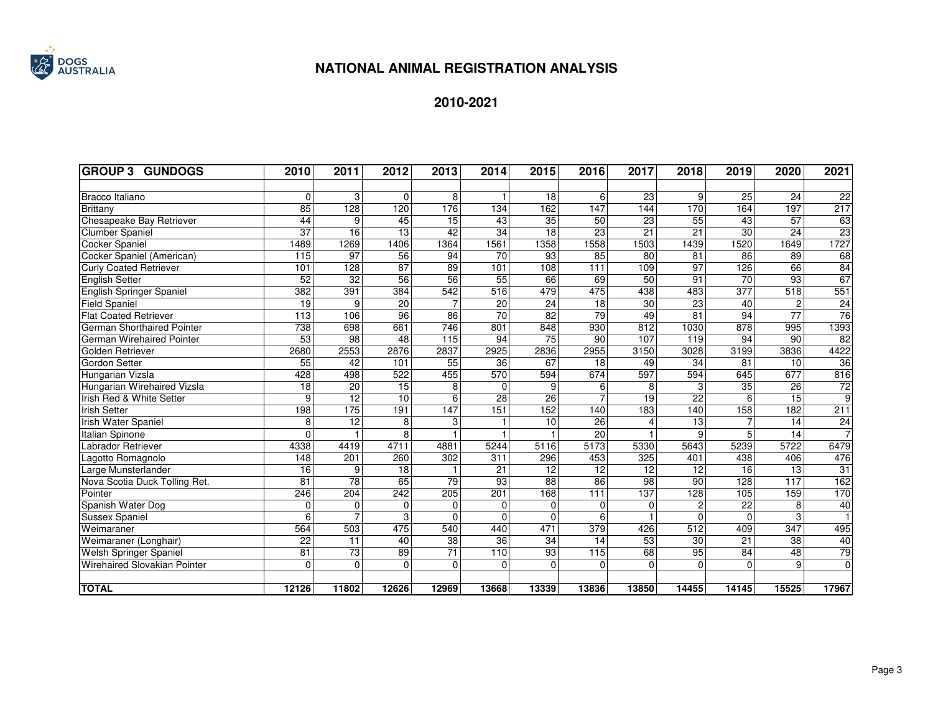

| <b>GROUP 3 GUNDOGS</b>              | 2010            | 2011            | 2012            | 2013              | 2014            | 2015            | 2016           | 2017            | 2018             | 2019             | 2020                      | 2021           |
|-------------------------------------|-----------------|-----------------|-----------------|-------------------|-----------------|-----------------|----------------|-----------------|------------------|------------------|---------------------------|----------------|
|                                     |                 |                 |                 |                   |                 |                 |                |                 |                  |                  |                           |                |
| Bracco Italiano                     | $\Omega$        | 3               | $\Omega$        | 8                 | $\mathbf{1}$    | 18              | 6              | 23              | 9                | 25               | 24                        | 22             |
| <b>Brittany</b>                     | 85              | 128             | 120             | 176               | 134             | 162             | 147            | 144             | 170              | 164              | 197                       | 217            |
| Chesapeake Bay Retriever            | 44              | 9               | 45              | 15                | 43              | 35              | 50             | 23              | 55               | 43               | 57                        | 63             |
| <b>Clumber Spaniel</b>              | $\overline{37}$ | 16              | 13              | 42                | 34              | 18              | 23             | 21              | 21               | 30               | 24                        | 23             |
| <b>Cocker Spaniel</b>               | 1489            | 1269            | 1406            | 1364              | 1561            | 1358            | 1558           | 1503            | 1439             | 1520             | 1649                      | 1727           |
| Cocker Spaniel (American)           | 115             | 97              | 56              | 94                | 70              | 93              | 85             | 80              | 81               | 86               | 89                        | 68             |
| <b>Curly Coated Retriever</b>       | 101             | 128             | $\overline{87}$ | 89                | 101             | 108             | 111            | 109             | $\overline{97}$  | 126              | 66                        | 84             |
| <b>English Setter</b>               | 52              | $\overline{32}$ | 56              | $\overline{56}$   | 55              | 66              | 69             | 50              | 91               | 70               | 93                        | 67             |
| English Springer Spaniel            | 382             | 391             | 384             | 542               | 516             | 479             | 475            | 438             | 483              | $\overline{377}$ | $\overline{518}$          | 551            |
| <b>Field Spaniel</b>                | $\overline{19}$ | 9               | 20              | $\overline{7}$    | 20              | $\overline{24}$ | 18             | $\overline{30}$ | $\overline{23}$  | 40               | $\mathbf{2}^{\mathsf{I}}$ | 24             |
| <b>Flat Coated Retriever</b>        | 113             | 106             | 96              | 86                | 70              | 82              | 79             | 49              | 81               | 94               | $\overline{77}$           | 76             |
| German Shorthaired Pointer          | 738             | 698             | 661             | 746               | 801             | 848             | 930            | 812             | 1030             | 878              | 995                       | 1393           |
| German Wirehaired Pointer           | 53              | $\overline{98}$ | 48              | 115               | 94              | $\overline{75}$ | 90             | 107             | 119              | 94               | 90                        | 82             |
| Golden Retriever                    | 2680            | 2553            | 2876            | 2837              | 2925            | 2836            | 2955           | 3150            | 3028             | 3199             | 3836                      | 4422           |
| Gordon Setter                       | 55              | 42              | 101             | 55                | 36              | 67              | 18             | 49              | 34               | 81               | 10                        | 36             |
| Hungarian Vizsla                    | 428             | 498             | 522             | 455               | 570             | 594             | 674            | 597             | 594              | 645              | 677                       | 816            |
| Hungarian Wirehaired Vizsla         | 18              | $\overline{20}$ | $\overline{15}$ | 8                 | $\Omega$        | 9               | 6              | 8               | 3                | $\overline{35}$  | 26                        | $\frac{72}{9}$ |
| Irish Red & White Setter            | 9               | $\overline{12}$ | 10              | $6\overline{6}$   | $\overline{28}$ | 26              | $\overline{7}$ | $\overline{19}$ | $\overline{22}$  | 6                | 15                        |                |
| <b>Irish Setter</b>                 | 198             | 175             | 191             | $\frac{147}{147}$ | 151             | 152             | 140            | 183             | 140              | 158              | 182                       | 211            |
| <b>Irish Water Spaniel</b>          | 8               | 12              | 8               | 3                 | $\mathbf{1}$    | $\overline{10}$ | 26             |                 | 13               | $\overline{7}$   | 14                        | $\frac{24}{7}$ |
| Italian Spinone                     | $\Omega$        |                 | 8               |                   | $\mathbf{1}$    |                 | 20             |                 | 9                | 5                | 14                        |                |
| Labrador Retriever                  | 4338            | 4419            | 4711            | 4881              | 5244            | 5116            | 5173           | 5330            | 5643             | 5239             | 5722                      | 6479           |
| Lagotto Romagnolo                   | 148             | 201             | 260             | 302               | 311             | 296             | 453            | 325             | 401              | 438              | 406                       | 476            |
| Large Munsterlander                 | 16              | 9               | 18              |                   | 21              | 12              | 12             | 12              | 12               | 16               | 13                        | 31             |
| Nova Scotia Duck Tolling Ret.       | 81              | $\overline{78}$ | 65              | 79                | 93              | $\overline{88}$ | 86             | 98              | 90               | 128              | 117                       | 162            |
| Pointer                             | 246             | 204             | 242             | 205               | 201             | 168             | 111            | 137             | 128              | 105              | 159                       | 170            |
| Spanish Water Dog                   | $\mathbf 0$     | $\Omega$        | $\mathbf{0}$    | $\mathbf 0$       | $\overline{0}$  | $\Omega$        | 0              | $\mathbf{0}$    | $\overline{c}$   | 22               | 8                         | 40             |
| <b>Sussex Spaniel</b>               | 6               | 7               | 3               | $\Omega$          | $\Omega$        | $\Omega$        | 6              |                 | $\Omega$         | $\Omega$         | 3                         |                |
| Weimaraner                          | 564             | 503             | 475             | 540               | 440             | 471             | 379            | 426             | $\overline{512}$ | 409              | 347                       | 495            |
| Weimaraner (Longhair)               | $\overline{22}$ | $\overline{11}$ | 40              | $\overline{38}$   | $\overline{36}$ | 34              | 14             | 53              | 30               | 21               | $\overline{38}$           | 40             |
| Welsh Springer Spaniel              | $\overline{81}$ | 73              | 89              | $\overline{71}$   | 110             | 93              | 115            | 68              | 95               | 84               | $\overline{48}$           | 79             |
| <b>Wirehaired Slovakian Pointer</b> | $\Omega$        | $\Omega$        | $\Omega$        | $\Omega$          | $\Omega$        | $\Omega$        | $\Omega$       | $\Omega$        | $\Omega$         | $\Omega$         | 9                         | $\overline{0}$ |
| <b>TOTAL</b>                        | 12126           | 11802           | 12626           | 12969             | 13668           | 13339           | 13836          | 13850           | 14455            | 14145            | 15525                     | 17967          |
|                                     |                 |                 |                 |                   |                 |                 |                |                 |                  |                  |                           |                |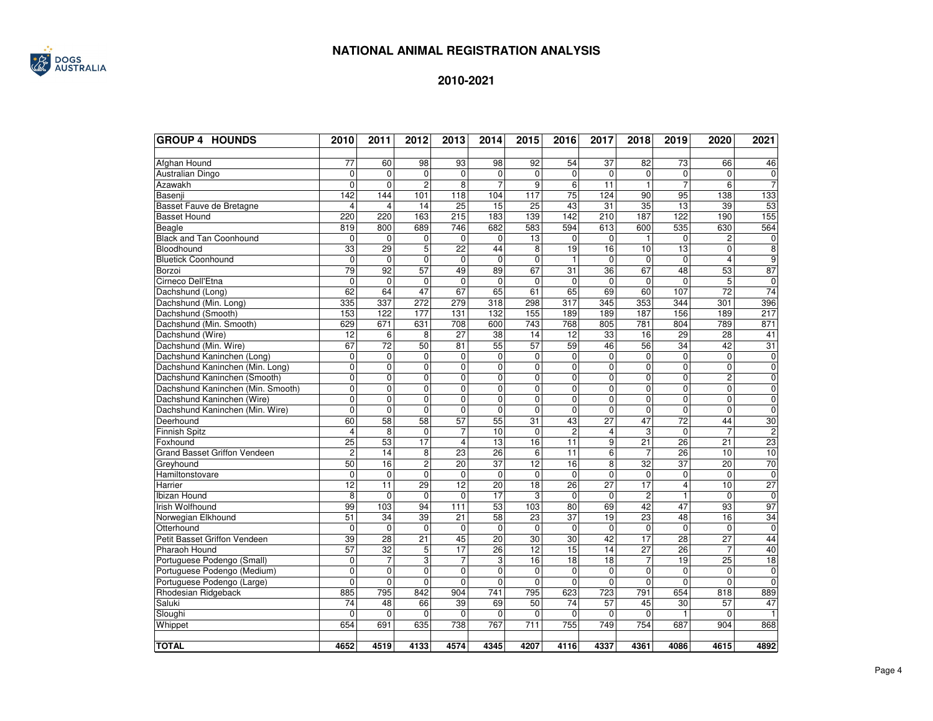

| <b>GROUP 4 HOUNDS</b>               | 2010                 | 2011                       | 2012                    | 2013                 | 2014              | 2015                 | 2016              | 2017                    | 2018                 | 2019                            | 2020                 | 2021            |
|-------------------------------------|----------------------|----------------------------|-------------------------|----------------------|-------------------|----------------------|-------------------|-------------------------|----------------------|---------------------------------|----------------------|-----------------|
| Afghan Hound                        | 77                   | 60                         | 98                      | 93                   | 98                | 92                   | 54                | 37                      | 82                   | 73                              | 66                   | 46              |
| Australian Dingo                    | $\mathbf 0$          | 0                          | $\overline{0}$          | $\overline{0}$       | $\mathbf 0$       | 0                    | $\mathbf 0$       | $\mathbf 0$             | $\mathbf 0$          | $\mathbf 0$                     | 0                    | $\mathbf 0$     |
| Azawakh                             | 0                    | $\Omega$                   | $\overline{c}$          | 8                    | $\overline{7}$    | 9                    | 6                 | 11                      | $\mathbf{1}$         | $\overline{7}$                  | 6                    | $\overline{7}$  |
| Basenji                             | 142                  | 144                        | 101                     | 118                  | 104               | 117                  | $\overline{75}$   | 124                     | 90                   | 95                              | 138                  | 133             |
| Basset Fauve de Bretagne            | 4                    | 4                          | 14                      | 25                   | 15                | $\overline{25}$      | 43                | 31                      | $\overline{35}$      | 13                              | 39                   | 53              |
| <b>Basset Hound</b>                 | 220                  | 220                        | 163                     | 215                  | 183               | 139                  | 142               | $\overline{210}$        | 187                  | 122                             | 190                  | 155             |
| Beagle                              | 819                  | 800                        | 689                     | 746                  | 682               | 583                  | 594               | 613                     | 600                  | 535                             | 630                  | 564             |
| <b>Black and Tan Coonhound</b>      | $\mathbf 0$          | $\mathbf 0$                | 0                       | $\mathbf 0$          | $\mathbf 0$       | 13                   | 0                 | $\mathbf 0$             | $\mathbf{1}$         | $\mathbf 0$                     | 2                    | $\mathbf 0$     |
| Bloodhound                          | 33                   | 29                         | 5                       | $\overline{22}$      | 44                | 8                    | 19                | 16                      | 10                   | 13                              | $\Omega$             | 8               |
| <b>Bluetick Coonhound</b>           | $\mathbf 0$          | $\mathbf 0$                | $\mathbf 0$             | $\mathbf 0$          | 0                 | $\mathbf 0$          | $\mathbf{1}$      | $\mathbf 0$             | $\mathbf 0$          | $\mathbf 0$                     | $\overline{4}$       | 9               |
| Borzoi                              | 79                   | 92                         | 57                      | 49                   | 89                | 67                   | 31                | 36                      | 67                   | 48                              | 53                   | 87              |
| Cirneco Dell'Etna                   | $\mathbf 0$          | $\mathbf 0$                | $\mathbf 0$             | $\mathbf 0$          | $\mathbf 0$       | $\mathbf 0$          | 0                 | $\mathbf 0$             | $\mathbf 0$          | $\mathbf 0$                     | $\overline{5}$       | $\mathbf 0$     |
| Dachshund (Long)                    | 62                   | 64                         | 47                      | 67                   | 65                | 61                   | 65                | 69                      | 60                   | 107                             | $\overline{72}$      | $\overline{74}$ |
| Dachshund (Min. Long)               | 335                  | 337                        | 272                     | 279                  | $\overline{318}$  | 298                  | $\overline{317}$  | 345                     | 353                  | 344                             | 301                  | 396             |
| Dachshund (Smooth)                  | 153                  | 122                        | 177                     | 131                  | 132               | 155                  | 189               | 189                     | 187                  | 156                             | 189                  | 217             |
| Dachshund (Min. Smooth)             | 629                  | 671                        | 631                     | 708                  | 600               | $\overline{743}$     | 768               | 805                     | 781                  | 804                             | 789                  | 871             |
| Dachshund (Wire)                    | $\overline{12}$      | 6                          | 8                       | 27                   | 38                | 14                   | $\overline{12}$   | 33                      | 16                   | 29                              | 28                   | 41              |
| Dachshund (Min. Wire)               | 67                   | $\overline{72}$            | 50                      | 81                   | 55                | 57                   | 59                | 46                      | 56                   | 34                              | 42                   | 31              |
| Dachshund Kaninchen (Long)          | $\mathbf 0$          | $\mathbf 0$                | $\mathbf 0$             | $\mathbf 0$          | $\mathbf 0$       | $\mathbf 0$          | $\mathbf 0$       | $\Omega$                | $\mathbf 0$          | $\mathbf 0$                     | $\Omega$             | $\mathbf 0$     |
| Dachshund Kaninchen (Min. Long)     | $\overline{0}$       | $\mathbf 0$                | $\mathbf 0$             | $\mathbf 0$          | 0                 | 0                    | 0                 | $\mathbf 0$             | $\mathbf 0$          | 0                               | $\mathbf 0$          | 0               |
| Dachshund Kaninchen (Smooth)        | $\overline{0}$       | $\overline{0}$             | $\overline{\mathbf{0}}$ | $\overline{0}$       | $\overline{0}$    | $\overline{0}$       | $\overline{0}$    | $\mathbf 0$             | $\mathbf 0$          | $\overline{0}$                  | $\overline{2}$       | $\overline{0}$  |
| Dachshund Kaninchen (Min. Smooth)   | $\overline{0}$       | 0                          | $\mathbf 0$             | $\mathbf 0$          | 0                 | 0                    | 0                 | 0                       | $\mathbf 0$          | 0                               | 0                    | $\overline{0}$  |
| Dachshund Kaninchen (Wire)          | $\mathbf 0$          | $\mathbf 0$                | $\mathbf 0$             | $\mathbf 0$          | $\mathbf 0$       | $\mathbf 0$          | $\mathbf 0$       | $\mathbf 0$             | $\mathbf 0$          | $\mathbf 0$                     | $\mathbf 0$          | $\pmb{0}$       |
| Dachshund Kaninchen (Min. Wire)     | 0                    | $\mathbf 0$                | $\Omega$                | $\mathbf 0$          | $\mathbf 0$       | 0                    | 0                 | $\Omega$                | $\mathbf 0$          | $\Omega$                        | $\Omega$             | $\mathbf 0$     |
| Deerhound                           | 60                   | 58                         | $\overline{58}$         | 57                   | $\overline{55}$   | $\overline{31}$      | 43                | $\overline{27}$         | 47                   | $\overline{72}$                 | 44                   | 30              |
| <b>Finnish Spitz</b>                | $\overline{4}$       | 8                          | $\mathbf 0$             | $\overline{7}$       | 10                | $\mathbf 0$          | $\overline{2}$    | $\overline{\mathbf{4}}$ | 3                    | $\mathbf 0$                     | $\overline{7}$       | $\overline{c}$  |
| Foxhound                            | 25                   | 53                         | 17                      | $\overline{4}$       | 13                | 16                   | $\overline{11}$   | 9                       | $\overline{21}$      | 26                              | $\overline{21}$      | 23              |
| <b>Grand Basset Griffon Vendeen</b> | $\overline{2}$       | 14                         | 8                       | 23                   | 26                | 6                    | $\overline{11}$   | 6                       | $\overline{7}$       | 26                              | 10                   | 10              |
| Greyhound                           | 50                   | 16                         | $\overline{2}$          | 20                   | 37                | 12                   | 16                | 8                       | 32                   | 37                              | 20                   | $\overline{70}$ |
| Hamiltonstovare                     | $\mathbf 0$          | $\mathbf 0$                | $\mathbf 0$             | $\mathbf 0$          | $\mathbf 0$       | $\mathbf 0$          | $\mathbf 0$       | $\mathbf 0$             | $\mathbf 0$          | $\mathbf 0$                     | $\Omega$             | $\mathbf 0$     |
| Harrier                             | 12                   | 11                         | 29                      | 12                   | $\overline{20}$   | $\overline{18}$      | $\overline{26}$   | 27                      | 17                   | 4                               | 10                   | $\overline{27}$ |
| Ibizan Hound                        | 8                    | $\Omega$                   | $\mathbf 0$             | $\mathbf 0$          | 17                | 3                    | $\mathbf 0$       | $\Omega$                | $\overline{c}$       | $\overline{1}$                  | $\Omega$             | $\mathbf 0$     |
| Irish Wolfhound                     | 99                   | 103                        | 94                      | $\overline{111}$     | 53                | 103                  | 80                | 69                      | 42                   | 47                              | 93                   | 97              |
| Norwegian Elkhound                  | 51                   | 34                         | 39                      | 21                   | 58                | $\overline{23}$      | 37                | 19                      | 23                   | 48                              | 16                   | 34              |
| Otterhound                          | $\mathbf 0$          | $\mathbf 0$                | $\mathbf{0}$            | 0                    | $\mathbf 0$       | $\mathbf 0$          | $\mathbf 0$       | $\mathbf 0$             | $\mathbf 0$          | $\mathbf 0$                     | $\mathbf 0$          | $\mathbf 0$     |
| Petit Basset Griffon Vendeen        | 39                   | 28                         | 21                      | 45                   | $\overline{20}$   | $\overline{30}$      | 30                | 42                      | $\overline{17}$      | 28                              | $\overline{27}$      | 44              |
| Pharaoh Hound                       | 57                   | 32                         | $\overline{5}$          | 17                   | 26                | 12                   | $\overline{15}$   | 14                      | 27                   | 26                              | $\overline{7}$       | 40              |
| Portuguese Podengo (Small)          | $\mathbf 0$          | $\overline{7}$             | 3                       | 7                    | 3                 | 16                   | $\overline{18}$   | $\overline{18}$         | 7                    | 19                              | $\overline{25}$      | $\overline{18}$ |
| Portuguese Podengo (Medium)         | $\Omega$<br>$\Omega$ | $\overline{0}$<br>$\Omega$ | $\Omega$                | $\mathbf 0$          | $\mathbf 0$       | $\Omega$<br>$\Omega$ | $\mathbf 0$       | $\Omega$                | $\mathbf 0$          | $\mathbf 0$                     | $\Omega$<br>$\Omega$ | $\mathbf 0$     |
| Portuguese Podengo (Large)          | 885                  | 795                        | $\Omega$<br>842         | $\Omega$<br>904      | $\Omega$<br>741   | 795                  | 0<br>623          | $\Omega$<br>723         | $\Omega$<br>791      | $\Omega$<br>654                 | 818                  | $\Omega$<br>889 |
| Rhodesian Ridgeback                 |                      |                            |                         |                      |                   |                      |                   |                         |                      |                                 |                      |                 |
| Saluki                              | 74<br>$\mathbf 0$    | 48<br>$\mathbf 0$          | 66<br>$\mathbf 0$       | 39<br>$\overline{0}$ | 69<br>$\mathbf 0$ | 50<br>$\mathbf 0$    | 74<br>$\mathbf 0$ | 57<br>$\mathbf 0$       | 45<br>$\overline{0}$ | $\overline{30}$<br>$\mathbf{1}$ | 57<br>$\Omega$       | 47              |
| Sloughi                             | 654                  | 691                        | 635                     | 738                  | 767               | 711                  | 755               | 749                     | 754                  | 687                             | 904                  | 868             |
| Whippet                             |                      |                            |                         |                      |                   |                      |                   |                         |                      |                                 |                      |                 |
| <b>TOTAL</b>                        | 4652                 | 4519                       | 4133                    | 4574                 | 4345              | 4207                 | 4116              | 4337                    | 4361                 | 4086                            | 4615                 | 4892            |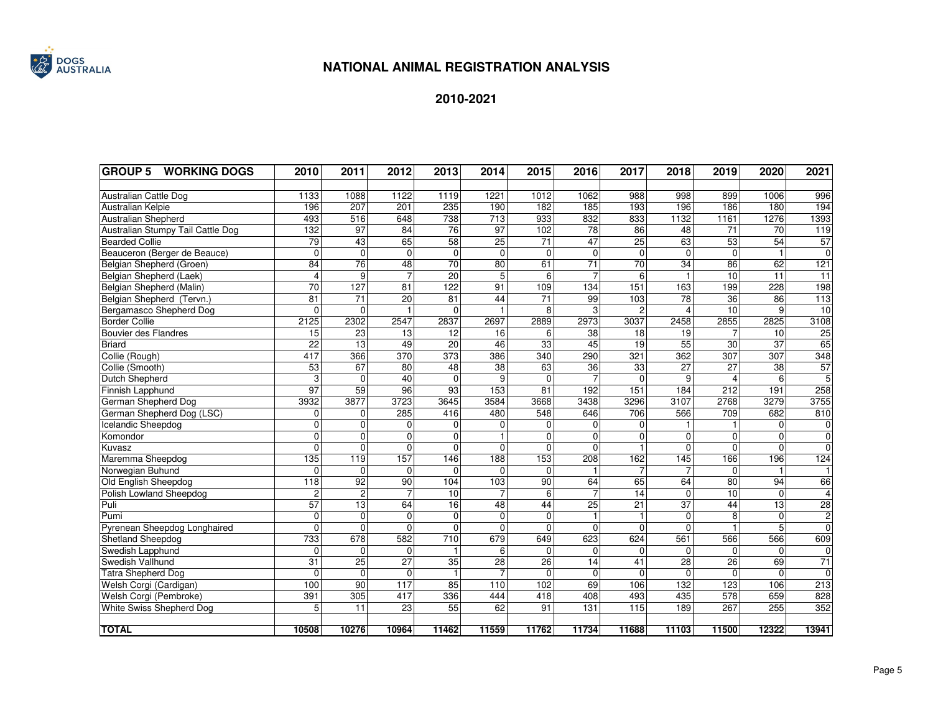

| <b>GROUP 5</b><br><b>WORKING DOGS</b> | 2010            | 2011             | 2012             | 2013             | 2014             | 2015            | 2016            | 2017             | 2018            | 2019                    | 2020            | 2021            |
|---------------------------------------|-----------------|------------------|------------------|------------------|------------------|-----------------|-----------------|------------------|-----------------|-------------------------|-----------------|-----------------|
|                                       |                 |                  |                  |                  |                  |                 |                 |                  |                 |                         |                 |                 |
| Australian Cattle Dog                 | 1133            | 1088             | 1122             | 1119             | 1221             | 1012            | 1062            | 988              | 998             | 899                     | 1006            | 996             |
| Australian Kelpie                     | 196             | $\overline{207}$ | 201              | 235              | 190              | 182             | 185             | 193              | 196             | 186                     | 180             | 194             |
| Australian Shepherd                   | 493             | 516              | 648              | 738              | 713              | 933             | 832             | 833              | 1132            | 1161                    | 1276            | 1393            |
| Australian Stumpy Tail Cattle Dog     | 132             | 97               | 84               | 76               | 97               | 102             | 78              | 86               | 48              | $\overline{71}$         | $\overline{70}$ | 119             |
| <b>Bearded Collie</b>                 | 79              | 43               | 65               | 58               | $\overline{25}$  | $\overline{71}$ | $\overline{47}$ | $\overline{25}$  | 63              | 53                      | 54              | 57              |
| Beauceron (Berger de Beauce)          | $\Omega$        | $\mathbf 0$      | $\Omega$         | $\mathbf{0}$     | $\mathbf 0$      | $\Omega$        | $\mathbf 0$     | $\Omega$         | $\overline{0}$  | $\Omega$                | $\mathbf{1}$    | $\overline{0}$  |
| Belgian Shepherd (Groen)              | 84              | 76               | 48               | 70               | 80               | 61              | 71              | $\overline{70}$  | 34              | 86                      | 62              | 121             |
| Belgian Shepherd (Laek)               | $\overline{4}$  | 9                | $\overline{7}$   | 20               | 5                | 6               | $\overline{7}$  | 6                |                 | $10$                    | 11              | 11              |
| Belgian Shepherd (Malin)              | 70              | 127              | 81               | $\overline{122}$ | 91               | 109             | 134             | 151              | 163             | 199                     | 228             | 198             |
| Belgian Shepherd (Tervn.)             | $\overline{81}$ | $\overline{71}$  | $\overline{20}$  | $\overline{81}$  | 44               | $\overline{71}$ | 99              | 103              | $\overline{78}$ | $\overline{36}$         | $\overline{86}$ | 113             |
| Bergamasco Shepherd Dog               | $\mathbf 0$     | $\mathbf{0}$     |                  | $\mathbf 0$      |                  | 8               | 3               | $\overline{c}$   | $\overline{4}$  | $\overline{10}$         | 9               | $\overline{10}$ |
| <b>Border Collie</b>                  | 2125            | 2302             | 2547             | 2837             | 2697             | 2889            | 2973            | 3037             | 2458            | 2855                    | 2825            | 3108            |
| <b>Bouvier des Flandres</b>           | 15              | $\overline{23}$  | $\overline{13}$  | $\overline{12}$  | 16               | 6               | $\overline{38}$ | 18               | $\overline{19}$ |                         | $\overline{10}$ | 25              |
| <b>Briard</b>                         | $\overline{22}$ | 13               | 49               | $\overline{20}$  | 46               | $\overline{33}$ | 45              | 19               | $\overline{55}$ | $\overline{30}$         | 37              | 65              |
| Collie (Rough)                        | 417             | 366              | 370              | 373              | 386              | 340             | 290             | 321              | 362             | 307                     | 307             | 348             |
| Collie (Smooth)                       | 53              | 67               | 80               | 48               | $\overline{38}$  | 63              | 36              | 33               | $\overline{27}$ | $\overline{27}$         | $\overline{38}$ | 57              |
| Dutch Shepherd                        | 3               | 0                | 40               | $\mathbf 0$      | 9                | $\Omega$        | $\overline{7}$  | $\Omega$         | 9               | $\overline{\mathbf{A}}$ | 6               | 5               |
| Finnish Lapphund                      | 97              | 59               | 96               | 93               | 153              | 81              | 192             | 151              | 184             | 212                     | 191             | 258             |
| German Shepherd Dog                   | 3932            | 3877             | 3723             | 3645             | 3584             | 3668            | 3438            | 3296             | 3107            | 2768                    | 3279            | 3755            |
| German Shepherd Dog (LSC)             | $\mathbf{0}$    | 0                | 285              | 416              | 480              | 548             | 646             | 706              | 566             | 709                     | 682             | 810             |
| Icelandic Sheepdog                    | $\mathbf 0$     | 0                | $\Omega$         | $\mathbf 0$      | $\mathbf 0$      | $\Omega$        | $\mathbf 0$     | $\Omega$         |                 |                         | $\mathbf 0$     | $\overline{0}$  |
| Komondor                              | $\mathbf{0}$    | 0                | $\Omega$         | $\mathbf 0$      |                  | $\Omega$        | $\mathbf{0}$    | $\overline{0}$   | 0               | $\Omega$                | $\overline{0}$  | $\pmb{0}$       |
| Kuvasz                                | $\Omega$        | $\overline{0}$   | $\Omega$         | $\mathbf 0$      | $\Omega$         | $\Omega$        | $\mathbf{0}$    |                  | $\overline{0}$  | $\Omega$                | $\overline{0}$  | $\mathbf 0$     |
| Maremma Sheepdog                      | 135             | 119              | 157              | 146              | 188              | 153             | 208             | 162              | $\frac{145}{2}$ | 166                     | 196             | 124             |
| Norwegian Buhund                      | $\Omega$        | 0                | $\Omega$         | $\Omega$         | $\Omega$         | $\Omega$        | $\mathbf{1}$    | $\overline{7}$   |                 | $\Omega$                |                 |                 |
| Old English Sheepdog                  | 118             | 92               | 90               | 104              | 103              | 90              | 64              | 65               | 64              | 80                      | 94              | 66              |
| Polish Lowland Sheepdog               | $\overline{2}$  | $\overline{2}$   | $\overline{7}$   | 10               | $\overline{7}$   | 6               | $\overline{7}$  | 14               | $\overline{0}$  | $\overline{10}$         | $\mathbf 0$     | $\overline{4}$  |
| Puli                                  | 57              | 13               | 64               | 16               | 48               | 44              | 25              | 21               | $\overline{37}$ | 44                      | 13              | 28              |
| Pumi                                  | $\mathbf{0}$    | 0                | $\Omega$         | 0                | $\mathbf{0}$     | $\Omega$        | $\mathbf{1}$    | $\mathbf{1}$     | 0               | 8                       | $\mathbf 0$     | $\overline{2}$  |
| Pyrenean Sheepdog Longhaired          | $\mathbf{0}$    | 0                | $\Omega$         | $\mathbf 0$      | $\mathbf{0}$     | 0               | $\mathbf 0$     | $\Omega$         | 0               |                         | 5               | $\mathbf 0$     |
| Shetland Sheepdog                     | 733             | 678              | 582              | 710              | 679              | 649             | 623             | 624              | 561             | 566                     | 566             | 609             |
| Swedish Lapphund                      | $\mathbf{0}$    | $\overline{0}$   | $\Omega$         | $\mathbf{1}$     | 6                | $\Omega$        | $\Omega$        | $\Omega$         | $\Omega$        | $\Omega$                | $\Omega$        | $\mathbf 0$     |
| Swedish Vallhund                      | 31              | $\overline{25}$  | $\overline{27}$  | $\overline{35}$  | $\overline{28}$  | 26              | 14              | 41               | $\overline{28}$ | 26                      | 69              | 71              |
| <b>Tatra Shepherd Dog</b>             | $\Omega$        | 0                | $\Omega$         | $\mathbf{1}$     |                  | $\Omega$        | $\mathbf 0$     | $\Omega$         | $\Omega$        | $\Omega$                | $\Omega$        | $\mathbf{0}$    |
| Welsh Corgi (Cardigan)                | 100             | $\overline{90}$  | $\overline{117}$ | 85               | $\overline{110}$ | 102             | 69              | 106              | 132             | 123                     | 106             | 213             |
| Welsh Corgi (Pembroke)                | 391             | 305              | 417              | 336              | 444              | 418             | 408             | 493              | 435             | 578                     | 659             | 828             |
| White Swiss Shepherd Dog              | 5               | $\overline{11}$  | 23               | 55               | 62               | 91              | 131             | $\overline{115}$ | 189             | 267                     | 255             | 352             |
|                                       |                 |                  |                  |                  |                  |                 |                 |                  |                 |                         |                 |                 |
| <b>TOTAL</b>                          | 10508           | 10276            | 10964            | 11462            | 11559            | 11762           | 11734           | 11688            | 11103           | 11500                   | 12322           | 13941           |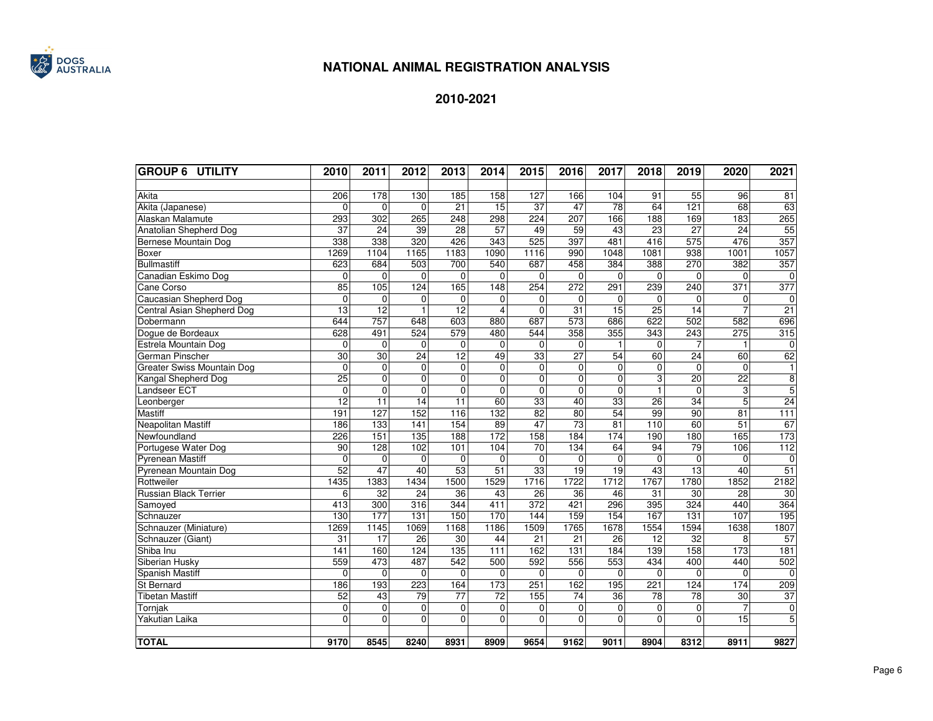

| <b>GROUP 6 UTILITY</b>            | 2010            | 2011             | 2012            | 2013            | 2014             | 2015            | 2016            | 2017            | 2018            | 2019             | 2020            | 2021            |
|-----------------------------------|-----------------|------------------|-----------------|-----------------|------------------|-----------------|-----------------|-----------------|-----------------|------------------|-----------------|-----------------|
|                                   |                 |                  |                 |                 |                  |                 |                 |                 |                 |                  |                 |                 |
| Akita                             | 206             | 178              | 130             | 185             | 158              | 127             | 166             | 104             | 91              | $\overline{55}$  | 96              | 81              |
| Akita (Japanese)                  | $\Omega$        | $\Omega$         | $\Omega$        | $\overline{21}$ | $\overline{15}$  | 37              | 47              | $\overline{78}$ | 64              | $\overline{121}$ | 68              | 63              |
| Alaskan Malamute                  | 293             | 302              | 265             | 248             | 298              | 224             | 207             | 166             | 188             | 169              | 183             | 265             |
| Anatolian Shepherd Dog            | $\overline{37}$ | $\overline{24}$  | 39              | $\overline{28}$ | $\overline{57}$  | 49              | 59              | 43              | $\overline{23}$ | $\overline{27}$  | 24              | 55              |
| Bernese Mountain Dog              | 338             | 338              | 320             | 426             | 343              | 525             | 397             | 481             | 416             | $\overline{575}$ | 476             | 357             |
| <b>Boxer</b>                      | 1269            | 1104             | 1165            | 1183            | 1090             | 1116            | 990             | 1048            | 1081            | 938              | 1001            | 1057            |
| <b>Bullmastiff</b>                | 623             | 684              | 503             | 700             | 540              | 687             | 458             | 384             | 388             | 270              | 382             | 357             |
| Canadian Eskimo Dog               | $\mathbf 0$     | $\mathbf 0$      | $\mathbf{0}$    | 0               | $\mathbf 0$      | $\mathbf 0$     | $\mathbf 0$     | $\Omega$        | 0               | $\mathbf 0$      | $\Omega$        | 0               |
| Cane Corso                        | 85              | 105              | 124             | 165             | $\overline{148}$ | 254             | 272             | 291             | 239             | 240              | 371             | 377             |
| Caucasian Shepherd Dog            | $\Omega$        | $\mathbf 0$      | 0               | 0               | $\Omega$         | $\Omega$        | $\mathbf 0$     | $\mathbf{0}$    | $\mathbf 0$     | $\Omega$         | $\Omega$        | 0               |
| <b>Central Asian Shepherd Dog</b> | 13              | $\overline{12}$  |                 | $\overline{12}$ | $\overline{4}$   | $\Omega$        | $\overline{31}$ | $\overline{15}$ | 25              | 14               |                 | 21              |
| Dobermann                         | 644             | 757              | 648             | 603             | 880              | 687             | 573             | 686             | 622             | 502              | 582             | 696             |
| Dogue de Bordeaux                 | 628             | 491              | 524             | 579             | 480              | 544             | 358             | 355             | 343             | 243              | 275             | 315             |
| Estrela Mountain Dog              | $\mathbf 0$     | $\mathbf 0$      | $\mathbf{0}$    | $\overline{0}$  | $\mathbf 0$      | $\mathbf 0$     | $\mathbf 0$     |                 | $\mathbf 0$     |                  |                 | 0               |
| German Pinscher                   | $\overline{30}$ | $\overline{30}$  | $\overline{24}$ | $\overline{12}$ | 49               | 33              | 27              | 54              | 60              | $\overline{24}$  | 60              | 62              |
| Greater Swiss Mountain Dog        | $\mathbf 0$     | $\mathbf 0$      | $\mathbf 0$     | $\overline{0}$  | $\mathbf 0$      | $\mathbf 0$     | $\mathbf 0$     | $\Omega$        | $\mathbf 0$     | $\mathbf{0}$     | $\Omega$        | $\mathbf{1}$    |
| Kangal Shepherd Dog               | 25              | $\mathbf 0$      | $\mathbf 0$     | 0               | $\mathbf 0$      | $\mathbf 0$     | $\mathbf 0$     | $\mathbf 0$     | 3               | 20               | $\overline{22}$ | $\overline{8}$  |
| Landseer ECT                      | $\mathbf 0$     | $\mathbf 0$      | $\mathbf 0$     | 0               | $\mathbf 0$      | $\mathbf 0$     | $\mathbf 0$     | $\Omega$        | $\mathbf{1}$    | $\mathbf 0$      | 3               | 5               |
| Leonberger                        | 12              | 11               | 14              | 11              | 60               | 33              | 40              | 33              | 26              | 34               | 5               | 24              |
| Mastiff                           | 191             | 127              | 152             | 116             | 132              | 82              | 80              | 54              | 99              | $\overline{90}$  | 81              | 111             |
| Neapolitan Mastiff                | 186             | 133              | 141             | 154             | 89               | 47              | $\overline{73}$ | $\overline{81}$ | 110             | 60               | $\overline{51}$ | 67              |
| Newfoundland                      | 226             | 151              | 135             | 188             | 172              | 158             | 184             | 174             | 190             | 180              | 165             | 173             |
| Portugese Water Dog               | 90              | 128              | 102             | 101             | 104              | $\overline{70}$ | 134             | 64              | 94              | 79               | 106             | 112             |
| <b>Pyrenean Mastiff</b>           | $\Omega$        | $\Omega$         | $\Omega$        | 0               | $\Omega$         | $\Omega$        | $\Omega$        | $\Omega$        | $\Omega$        | $\Omega$         | $\Omega$        | $\mathbf 0$     |
| Pyrenean Mountain Dog             | 52              | 47               | 40              | 53              | $\overline{51}$  | $\overline{33}$ | $\overline{19}$ | $\overline{19}$ | $\overline{43}$ | $\overline{13}$  | 40              | $\overline{51}$ |
| Rottweiler                        | 1435            | 1383             | 1434            | 1500            | 1529             | 1716            | 1722            | 1712            | 1767            | 1780             | 1852            | 2182            |
| <b>Russian Black Terrier</b>      | 6               | $\overline{32}$  | $\overline{24}$ | $\overline{36}$ | 43               | $\overline{26}$ | 36              | 46              | $\overline{31}$ | $\overline{30}$  | 28              | 30              |
| Samoyed                           | 413             | $\overline{300}$ | 316             | 344             | 411              | 372             | 421             | 296             | 395             | 324              | 440             | 364             |
| Schnauzer                         | 130             | 177              | 131             | 150             | 170              | 144             | 159             | 154             | 167             | 131              | 107             | 195             |
| Schnauzer (Miniature)             | 1269            | 1145             | 1069            | 1168            | 1186             | 1509            | 1765            | 1678            | 1554            | 1594             | 1638            | 1807            |
| Schnauzer (Giant)                 | 31              | 17               | 26              | 30              | 44               | 21              | 21              | 26              | 12              | 32               | 8               | 57              |
| Shiba Inu                         | 141             | 160              | 124             | 135             | 111              | 162             | 131             | 184             | 139             | 158              | 173             | 181             |
| Siberian Husky                    | 559             | 473              | 487             | 542             | 500              | 592             | 556             | 553             | 434             | 400              | 440             | 502             |
| Spanish Mastiff                   | $\mathbf 0$     | $\mathbf 0$      | $\mathbf{0}$    | 0               | $\mathbf 0$      | $\mathbf 0$     | $\mathbf 0$     | $\mathbf{0}$    | $\mathbf 0$     | $\mathbf 0$      | $\mathbf 0$     | $\mathbf 0$     |
| St Bernard                        | 186             | 193              | 223             | 164             | 173              | 251             | 162             | 195             | 221             | 124              | 174             | 209             |
| <b>Tibetan Mastiff</b>            | 52              | 43               | 79              | 77              | $\overline{72}$  | 155             | 74              | 36              | 78              | 78               | 30              | 37              |
| Tornjak                           | $\mathbf 0$     | $\overline{0}$   | $\mathbf 0$     | $\mathbf 0$     | $\mathbf 0$      | $\pmb{0}$       | 0               | $\mathbf 0$     | $\mathbf 0$     | $\mathbf 0$      | 7               | $\mathbf 0$     |
| Yakutian Laika                    | 0               | $\overline{0}$   | $\mathbf 0$     | $\overline{0}$  | $\overline{0}$   | $\overline{0}$  | $\overline{0}$  | $\mathbf{0}$    | $\mathbf{0}$    | $\Omega$         | $\overline{15}$ | 5               |
|                                   |                 |                  |                 |                 |                  |                 |                 |                 |                 |                  |                 |                 |
| <b>TOTAL</b>                      | 9170            | 8545             | 8240            | 8931            | 8909             | 9654            | 9162            | 9011            | 8904            | 8312             | 8911            | 9827            |